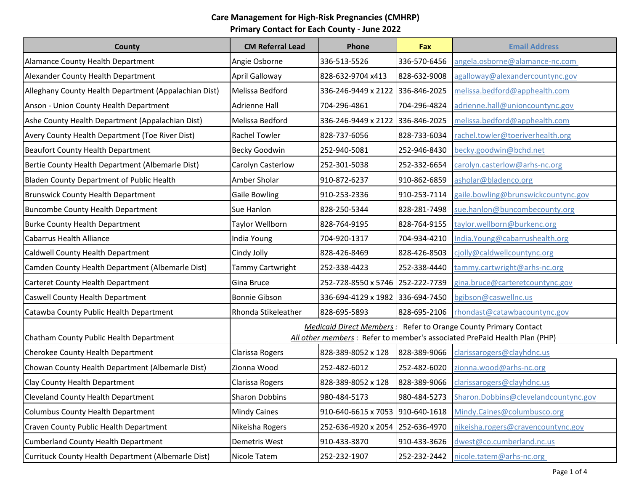| County                                                | <b>CM Referral Lead</b>                                                                                                                             | Phone                            | <b>Fax</b>   | <b>Email Address</b>                        |
|-------------------------------------------------------|-----------------------------------------------------------------------------------------------------------------------------------------------------|----------------------------------|--------------|---------------------------------------------|
| Alamance County Health Department                     | Angie Osborne                                                                                                                                       | 336-513-5526                     | 336-570-6456 | angela.osborne@alamance-nc.com              |
| Alexander County Health Department                    | April Galloway                                                                                                                                      | 828-632-9704 x413                | 828-632-9008 | agalloway@alexandercountync.gov             |
| Alleghany County Health Department (Appalachian Dist) | Melissa Bedford                                                                                                                                     | 336-246-9449 x 2122 336-846-2025 |              | melissa.bedford@apphealth.com               |
| Anson - Union County Health Department                | <b>Adrienne Hall</b>                                                                                                                                | 704-296-4861                     | 704-296-4824 | adrienne.hall@unioncountync.gov             |
| Ashe County Health Department (Appalachian Dist)      | Melissa Bedford                                                                                                                                     | 336-246-9449 x 2122 336-846-2025 |              | melissa.bedford@apphealth.com               |
| Avery County Health Department (Toe River Dist)       | <b>Rachel Towler</b>                                                                                                                                | 828-737-6056                     | 828-733-6034 | rachel.towler@toeriverhealth.org            |
| Beaufort County Health Department                     | Becky Goodwin                                                                                                                                       | 252-940-5081                     | 252-946-8430 | becky.goodwin@bchd.net                      |
| Bertie County Health Department (Albemarle Dist)      | Carolyn Casterlow                                                                                                                                   | 252-301-5038                     | 252-332-6654 | carolyn.casterlow@arhs-nc.org               |
| Bladen County Department of Public Health             | Amber Sholar                                                                                                                                        | 910-872-6237                     | 910-862-6859 | asholar@bladenco.org                        |
| <b>Brunswick County Health Department</b>             | <b>Gaile Bowling</b>                                                                                                                                | 910-253-2336                     | 910-253-7114 | gaile.bowling@brunswickcountync.gov         |
| <b>Buncombe County Health Department</b>              | Sue Hanlon                                                                                                                                          | 828-250-5344                     | 828-281-7498 | sue.hanlon@buncombecounty.org               |
| <b>Burke County Health Department</b>                 | Taylor Wellborn                                                                                                                                     | 828-764-9195                     | 828-764-9155 | taylor.wellborn@burkenc.org                 |
| <b>Cabarrus Health Alliance</b>                       | India Young                                                                                                                                         | 704-920-1317                     | 704-934-4210 | India.Young@cabarrushealth.org              |
| Caldwell County Health Department                     | Cindy Jolly                                                                                                                                         | 828-426-8469                     | 828-426-8503 | cjolly@caldwellcountync.org                 |
| Camden County Health Department (Albemarle Dist)      | Tammy Cartwright                                                                                                                                    | 252-338-4423                     | 252-338-4440 | tammy.cartwright@arhs-nc.org                |
| Carteret County Health Department                     | Gina Bruce                                                                                                                                          | 252-728-8550 x 5746 252-222-7739 |              | gina.bruce@carteretcountync.gov             |
| Caswell County Health Department                      | <b>Bonnie Gibson</b>                                                                                                                                | 336-694-4129 x 1982 336-694-7450 |              | bgibson@caswellnc.us                        |
| Catawba County Public Health Department               | Rhonda Stikeleather                                                                                                                                 | 828-695-5893                     |              | 828-695-2106   rhondast@catawbacountync.gov |
| Chatham County Public Health Department               | <b>Medicaid Direct Members:</b> Refer to Orange County Primary Contact<br>All other members: Refer to member's associated PrePaid Health Plan (PHP) |                                  |              |                                             |
| Cherokee County Health Department                     | Clarissa Rogers                                                                                                                                     | 828-389-8052 x 128               | 828-389-9066 | clarissarogers@clayhdnc.us                  |
| Chowan County Health Department (Albemarle Dist)      | Zionna Wood                                                                                                                                         | 252-482-6012                     | 252-482-6020 | zionna.wood@arhs-nc.org                     |
| Clay County Health Department                         | Clarissa Rogers                                                                                                                                     | 828-389-8052 x 128               | 828-389-9066 | clarissarogers@clayhdnc.us                  |
| <b>Cleveland County Health Department</b>             | <b>Sharon Dobbins</b>                                                                                                                               | 980-484-5173                     | 980-484-5273 | Sharon.Dobbins@clevelandcountync.gov        |
| Columbus County Health Department                     | <b>Mindy Caines</b>                                                                                                                                 | 910-640-6615 x 7053 910-640-1618 |              | Mindy.Caines@columbusco.org                 |
| Craven County Public Health Department                | Nikeisha Rogers                                                                                                                                     | 252-636-4920 x 2054 252-636-4970 |              | nikeisha.rogers@cravencountync.gov          |
| Cumberland County Health Department                   | Demetris West                                                                                                                                       | 910-433-3870                     | 910-433-3626 | dwest@co.cumberland.nc.us                   |
| Currituck County Health Department (Albemarle Dist)   | Nicole Tatem                                                                                                                                        | 252-232-1907                     | 252-232-2442 | nicole.tatem@arhs-nc.org                    |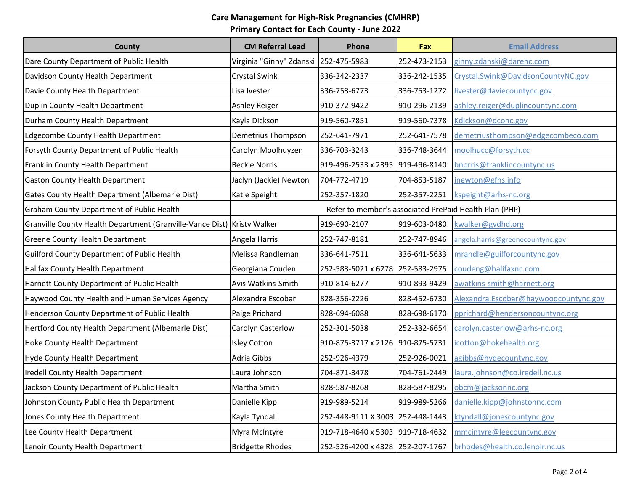| County                                                                  | <b>CM Referral Lead</b>               | Phone                                                  | Fax          | <b>Email Address</b>                  |
|-------------------------------------------------------------------------|---------------------------------------|--------------------------------------------------------|--------------|---------------------------------------|
| Dare County Department of Public Health                                 | Virginia "Ginny" Zdanski 252-475-5983 |                                                        | 252-473-2153 | ginny.zdanski@darenc.com              |
| Davidson County Health Department                                       | Crystal Swink                         | 336-242-2337                                           | 336-242-1535 | Crystal.Swink@DavidsonCountyNC.gov    |
| Davie County Health Department                                          | Lisa Ivester                          | 336-753-6773                                           | 336-753-1272 | livester@daviecountync.gov            |
| Duplin County Health Department                                         | <b>Ashley Reiger</b>                  | 910-372-9422                                           | 910-296-2139 | ashley.reiger@duplincountync.com      |
| Durham County Health Department                                         | Kayla Dickson                         | 919-560-7851                                           | 919-560-7378 | Kdickson@dconc.gov                    |
| <b>Edgecombe County Health Department</b>                               | Demetrius Thompson                    | 252-641-7971                                           | 252-641-7578 | demetriusthompson@edgecombeco.com     |
| Forsyth County Department of Public Health                              | Carolyn Moolhuyzen                    | 336-703-3243                                           | 336-748-3644 | moolhucc@forsyth.cc                   |
| Franklin County Health Department                                       | <b>Beckie Norris</b>                  | 919-496-2533 x 2395 919-496-8140                       |              | bnorris@franklincountync.us           |
| <b>Gaston County Health Department</b>                                  | Jaclyn (Jackie) Newton                | 704-772-4719                                           | 704-853-5187 | jnewton@gfhs.info                     |
| Gates County Health Department (Albemarle Dist)                         | Katie Speight                         | 252-357-1820                                           | 252-357-2251 | kspeight@arhs-nc.org                  |
| Graham County Department of Public Health                               |                                       | Refer to member's associated PrePaid Health Plan (PHP) |              |                                       |
| Granville County Health Department (Granville-Vance Dist) Kristy Walker |                                       | 919-690-2107                                           | 919-603-0480 | kwalker@gvdhd.org                     |
| <b>Greene County Health Department</b>                                  | Angela Harris                         | 252-747-8181                                           | 252-747-8946 | angela.harris@greenecountync.gov      |
| Guilford County Department of Public Health                             | Melissa Randleman                     | 336-641-7511                                           | 336-641-5633 | mrandle@guilforcountync.gov           |
| Halifax County Health Department                                        | Georgiana Couden                      | 252-583-5021 x 6278 252-583-2975                       |              | coudeng@halifaxnc.com                 |
| Harnett County Department of Public Health                              | Avis Watkins-Smith                    | 910-814-6277                                           | 910-893-9429 | awatkins-smith@harnett.org            |
| Haywood County Health and Human Services Agency                         | Alexandra Escobar                     | 828-356-2226                                           | 828-452-6730 | Alexandra.Escobar@haywoodcountync.gov |
| Henderson County Department of Public Health                            | Paige Prichard                        | 828-694-6088                                           | 828-698-6170 | pprichard@hendersoncountync.org       |
| Hertford County Health Department (Albemarle Dist)                      | Carolyn Casterlow                     | 252-301-5038                                           | 252-332-6654 | carolyn.casterlow@arhs-nc.org         |
| Hoke County Health Department                                           | <b>Isley Cotton</b>                   | 910-875-3717 x 2126                                    | 910-875-5731 | icotton@hokehealth.org                |
| <b>Hyde County Health Department</b>                                    | Adria Gibbs                           | 252-926-4379                                           | 252-926-0021 | agibbs@hydecountync.gov               |
| Iredell County Health Department                                        | Laura Johnson                         | 704-871-3478                                           | 704-761-2449 | laura.johnson@co.iredell.nc.us        |
| Jackson County Department of Public Health                              | Martha Smith                          | 828-587-8268                                           | 828-587-8295 | obcm@jacksonnc.org                    |
| Johnston County Public Health Department                                | Danielle Kipp                         | 919-989-5214                                           | 919-989-5266 | danielle.kipp@johnstonnc.com          |
| Jones County Health Department                                          | Kayla Tyndall                         | 252-448-9111 X 3003                                    | 252-448-1443 | ktyndall@jonescountync.gov            |
| Lee County Health Department                                            | Myra McIntyre                         | 919-718-4640 x 5303 919-718-4632                       |              | mmcintyre@leecountync.gov             |
| Lenoir County Health Department                                         | <b>Bridgette Rhodes</b>               | 252-526-4200 x 4328 252-207-1767                       |              | brhodes@health.co.lenoir.nc.us        |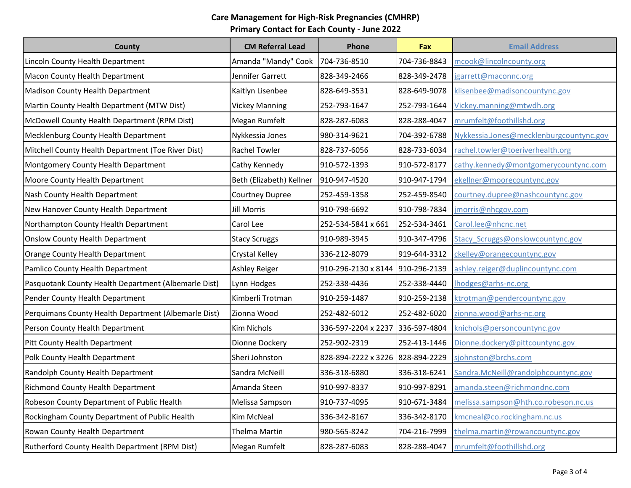| County                                               | <b>CM Referral Lead</b>  | Phone                            | Fax          | <b>Email Address</b>                    |
|------------------------------------------------------|--------------------------|----------------------------------|--------------|-----------------------------------------|
| Lincoln County Health Department                     | Amanda "Mandy" Cook      | 704-736-8510                     | 704-736-8843 | mcook@lincolncounty.org                 |
| Macon County Health Department                       | Jennifer Garrett         | 828-349-2466                     | 828-349-2478 | jgarrett@maconnc.org                    |
| <b>Madison County Health Department</b>              | Kaitlyn Lisenbee         | 828-649-3531                     | 828-649-9078 | klisenbee@madisoncountync.gov           |
| Martin County Health Department (MTW Dist)           | <b>Vickey Manning</b>    | 252-793-1647                     | 252-793-1644 | Vickey.manning@mtwdh.org                |
| McDowell County Health Department (RPM Dist)         | Megan Rumfelt            | 828-287-6083                     | 828-288-4047 | mrumfelt@foothillshd.org                |
| Mecklenburg County Health Department                 | Nykkessia Jones          | 980-314-9621                     | 704-392-6788 | Nykkessia.Jones@mecklenburgcountync.gov |
| Mitchell County Health Department (Toe River Dist)   | Rachel Towler            | 828-737-6056                     | 828-733-6034 | rachel.towler@toeriverhealth.org        |
| Montgomery County Health Department                  | Cathy Kennedy            | 910-572-1393                     | 910-572-8177 | cathy.kennedy@montgomerycountync.com    |
| Moore County Health Department                       | Beth (Elizabeth) Kellner | 910-947-4520                     | 910-947-1794 | ekellner@moorecountync.gov              |
| Nash County Health Department                        | Courtney Dupree          | 252-459-1358                     | 252-459-8540 | courtney.dupree@nashcountync.gov        |
| New Hanover County Health Department                 | <b>Jill Morris</b>       | 910-798-6692                     | 910-798-7834 | jmorris@nhcgov.com                      |
| Northampton County Health Department                 | Carol Lee                | 252-534-5841 x 661               | 252-534-3461 | Carol.lee@nhcnc.net                     |
| <b>Onslow County Health Department</b>               | <b>Stacy Scruggs</b>     | 910-989-3945                     | 910-347-4796 | Stacy_Scruggs@onslowcountync.gov        |
| Orange County Health Department                      | Crystal Kelley           | 336-212-8079                     | 919-644-3312 | ckelley@orangecountync.gov              |
| Pamlico County Health Department                     | Ashley Reiger            | 910-296-2130 x 8144              | 910-296-2139 | ashley.reiger@duplincountync.com        |
| Pasquotank County Health Department (Albemarle Dist) | Lynn Hodges              | 252-338-4436                     | 252-338-4440 | Ihodges@arhs-nc.org                     |
| Pender County Health Department                      | Kimberli Trotman         | 910-259-1487                     | 910-259-2138 | ktrotman@pendercountync.gov             |
| Perquimans County Health Department (Albemarle Dist) | Zionna Wood              | 252-482-6012                     | 252-482-6020 | zionna.wood@arhs-nc.org                 |
| Person County Health Department                      | Kim Nichols              | 336-597-2204 x 2237 336-597-4804 |              | knichols@personcountync.gov             |
| Pitt County Health Department                        | Dionne Dockery           | 252-902-2319                     | 252-413-1446 | Dionne.dockery@pittcountync.gov         |
| Polk County Health Department                        | Sheri Johnston           | 828-894-2222 x 3226 828-894-2229 |              | sjohnston@brchs.com                     |
| Randolph County Health Department                    | Sandra McNeill           | 336-318-6880                     | 336-318-6241 | Sandra.McNeill@randolphcountync.gov     |
| <b>Richmond County Health Department</b>             | Amanda Steen             | 910-997-8337                     | 910-997-8291 | amanda.steen@richmondnc.com             |
| Robeson County Department of Public Health           | Melissa Sampson          | 910-737-4095                     | 910-671-3484 | melissa.sampson@hth.co.robeson.nc.us    |
| Rockingham County Department of Public Health        | Kim McNeal               | 336-342-8167                     | 336-342-8170 | kmcneal@co.rockingham.nc.us             |
| Rowan County Health Department                       | Thelma Martin            | 980-565-8242                     | 704-216-7999 | thelma.martin@rowancountync.gov         |
| Rutherford County Health Department (RPM Dist)       | Megan Rumfelt            | 828-287-6083                     | 828-288-4047 | mrumfelt@foothillshd.org                |